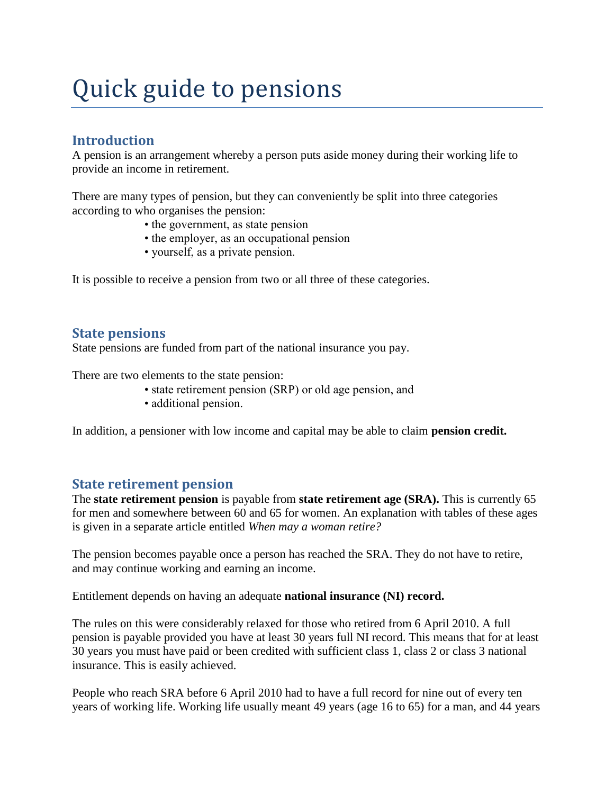# Quick guide to pensions

# **Introduction**

A pension is an arrangement whereby a person puts aside money during their working life to provide an income in retirement.

There are many types of pension, but they can conveniently be split into three categories according to who organises the pension:

- the government, as state pension
- the employer, as an occupational pension
- yourself, as a private pension.

It is possible to receive a pension from two or all three of these categories.

## **State pensions**

State pensions are funded from part of the national insurance you pay.

There are two elements to the state pension:

- state retirement pension (SRP) or old age pension, and
- additional pension.

In addition, a pensioner with low income and capital may be able to claim **pension credit.**

## **State retirement pension**

The **state retirement pension** is payable from **state retirement age (SRA).** This is currently 65 for men and somewhere between 60 and 65 for women. An explanation with tables of these ages is given in a separate article entitled *When may a woman retire?*

The pension becomes payable once a person has reached the SRA. They do not have to retire, and may continue working and earning an income.

Entitlement depends on having an adequate **national insurance (NI) record.** 

The rules on this were considerably relaxed for those who retired from 6 April 2010. A full pension is payable provided you have at least 30 years full NI record. This means that for at least 30 years you must have paid or been credited with sufficient class 1, class 2 or class 3 national insurance. This is easily achieved.

People who reach SRA before 6 April 2010 had to have a full record for nine out of every ten years of working life. Working life usually meant 49 years (age 16 to 65) for a man, and 44 years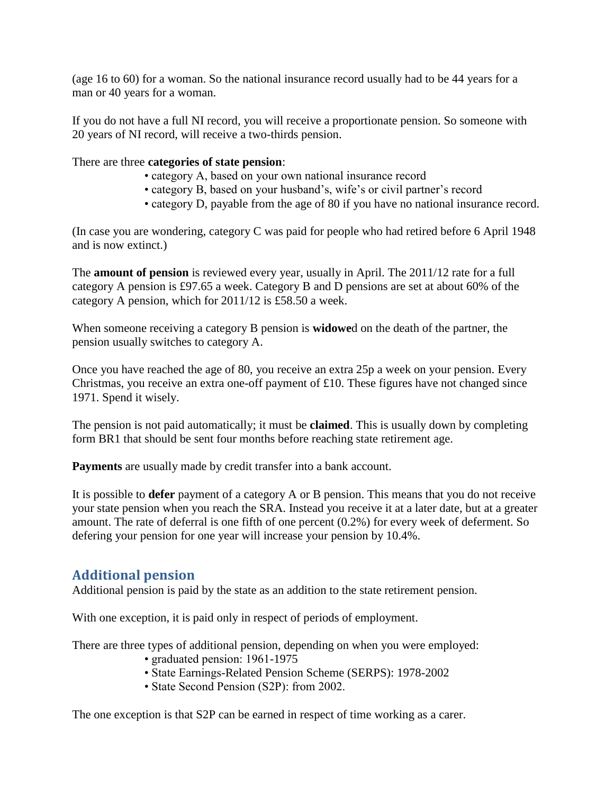(age 16 to 60) for a woman. So the national insurance record usually had to be 44 years for a man or 40 years for a woman.

If you do not have a full NI record, you will receive a proportionate pension. So someone with 20 years of NI record, will receive a two-thirds pension.

#### There are three **categories of state pension**:

- category A, based on your own national insurance record
- category B, based on your husband's, wife's or civil partner's record
- category D, payable from the age of 80 if you have no national insurance record.

(In case you are wondering, category C was paid for people who had retired before 6 April 1948 and is now extinct.)

The **amount of pension** is reviewed every year, usually in April. The 2011/12 rate for a full category A pension is £97.65 a week. Category B and D pensions are set at about 60% of the category A pension, which for 2011/12 is £58.50 a week.

When someone receiving a category B pension is **widowe**d on the death of the partner, the pension usually switches to category A.

Once you have reached the age of 80, you receive an extra 25p a week on your pension. Every Christmas, you receive an extra one-off payment of £10. These figures have not changed since 1971. Spend it wisely.

The pension is not paid automatically; it must be **claimed**. This is usually down by completing form BR1 that should be sent four months before reaching state retirement age.

**Payments** are usually made by credit transfer into a bank account.

It is possible to **defer** payment of a category A or B pension. This means that you do not receive your state pension when you reach the SRA. Instead you receive it at a later date, but at a greater amount. The rate of deferral is one fifth of one percent (0.2%) for every week of deferment. So defering your pension for one year will increase your pension by 10.4%.

# **Additional pension**

Additional pension is paid by the state as an addition to the state retirement pension.

With one exception, it is paid only in respect of periods of employment.

There are three types of additional pension, depending on when you were employed:

- graduated pension: 1961-1975
- State Earnings-Related Pension Scheme (SERPS): 1978-2002
- State Second Pension (S2P): from 2002.

The one exception is that S2P can be earned in respect of time working as a carer.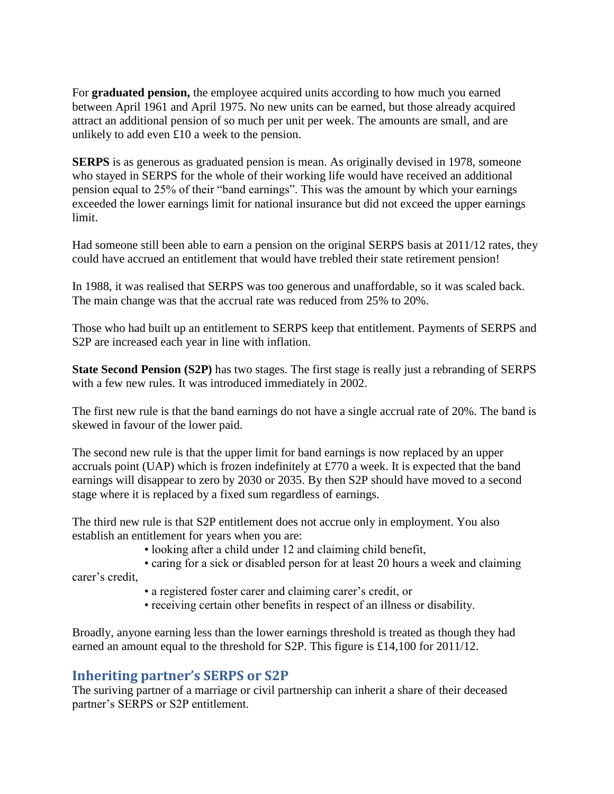For **graduated pension,** the employee acquired units according to how much you earned between April 1961 and April 1975. No new units can be earned, but those already acquired attract an additional pension of so much per unit per week. The amounts are small, and are unlikely to add even £10 a week to the pension.

**SERPS** is as generous as graduated pension is mean. As originally devised in 1978, someone who stayed in SERPS for the whole of their working life would have received an additional pension equal to 25% of their "band earnings". This was the amount by which your earnings exceeded the lower earnings limit for national insurance but did not exceed the upper earnings limit.

Had someone still been able to earn a pension on the original SERPS basis at 2011/12 rates, they could have accrued an entitlement that would have trebled their state retirement pension!

In 1988, it was realised that SERPS was too generous and unaffordable, so it was scaled back. The main change was that the accrual rate was reduced from 25% to 20%.

Those who had built up an entitlement to SERPS keep that entitlement. Payments of SERPS and S2P are increased each year in line with inflation.

**State Second Pension (S2P)** has two stages. The first stage is really just a rebranding of SERPS with a few new rules. It was introduced immediately in 2002.

The first new rule is that the band earnings do not have a single accrual rate of 20%. The band is skewed in favour of the lower paid.

The second new rule is that the upper limit for band earnings is now replaced by an upper accruals point (UAP) which is frozen indefinitely at £770 a week. It is expected that the band earnings will disappear to zero by 2030 or 2035. By then S2P should have moved to a second stage where it is replaced by a fixed sum regardless of earnings.

The third new rule is that S2P entitlement does not accrue only in employment. You also establish an entitlement for years when you are:

• looking after a child under 12 and claiming child benefit,

• caring for a sick or disabled person for at least 20 hours a week and claiming

carer's credit,

- a registered foster carer and claiming carer's credit, or
- receiving certain other benefits in respect of an illness or disability.

Broadly, anyone earning less than the lower earnings threshold is treated as though they had earned an amount equal to the threshold for S2P. This figure is £14,100 for 2011/12.

#### **Inheriting partner's SERPS or S2P**

The suriving partner of a marriage or civil partnership can inherit a share of their deceased partner's SERPS or S2P entitlement.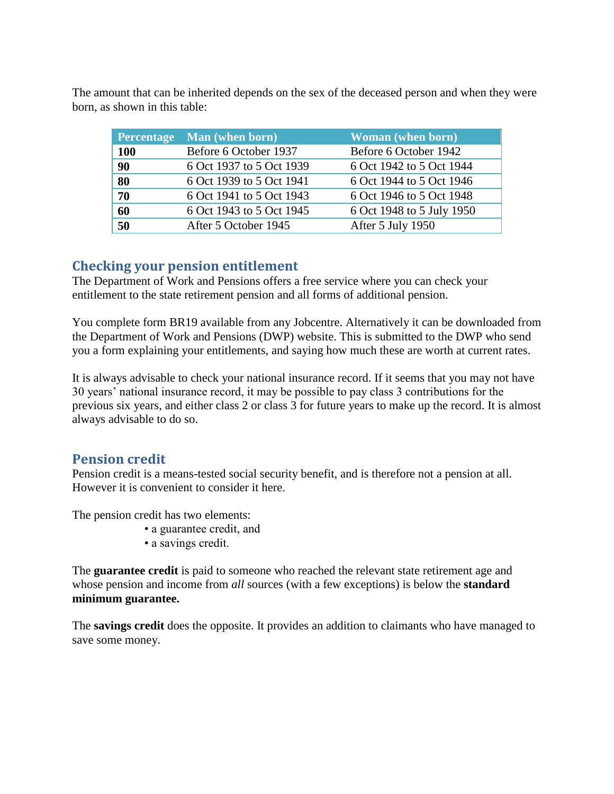The amount that can be inherited depends on the sex of the deceased person and when they were born, as shown in this table:

| <b>Percentage</b> | Man (when born)          | <b>Woman</b> (when born)  |
|-------------------|--------------------------|---------------------------|
| <b>100</b>        | Before 6 October 1937    | Before 6 October 1942     |
| 90                | 6 Oct 1937 to 5 Oct 1939 | 6 Oct 1942 to 5 Oct 1944  |
| 80                | 6 Oct 1939 to 5 Oct 1941 | 6 Oct 1944 to 5 Oct 1946  |
| 70                | 6 Oct 1941 to 5 Oct 1943 | 6 Oct 1946 to 5 Oct 1948  |
| 60                | 6 Oct 1943 to 5 Oct 1945 | 6 Oct 1948 to 5 July 1950 |
| 50                | After 5 October 1945     | After 5 July 1950         |

## **Checking your pension entitlement**

The Department of Work and Pensions offers a free service where you can check your entitlement to the state retirement pension and all forms of additional pension.

You complete form BR19 available from any Jobcentre. Alternatively it can be downloaded from the Department of Work and Pensions (DWP) website. This is submitted to the DWP who send you a form explaining your entitlements, and saying how much these are worth at current rates.

It is always advisable to check your national insurance record. If it seems that you may not have 30 years' national insurance record, it may be possible to pay class 3 contributions for the previous six years, and either class 2 or class 3 for future years to make up the record. It is almost always advisable to do so.

# **Pension credit**

Pension credit is a means-tested social security benefit, and is therefore not a pension at all. However it is convenient to consider it here.

The pension credit has two elements:

- a guarantee credit, and
- a savings credit.

The **guarantee credit** is paid to someone who reached the relevant state retirement age and whose pension and income from *all* sources (with a few exceptions) is below the **standard minimum guarantee.**

The **savings credit** does the opposite. It provides an addition to claimants who have managed to save some money.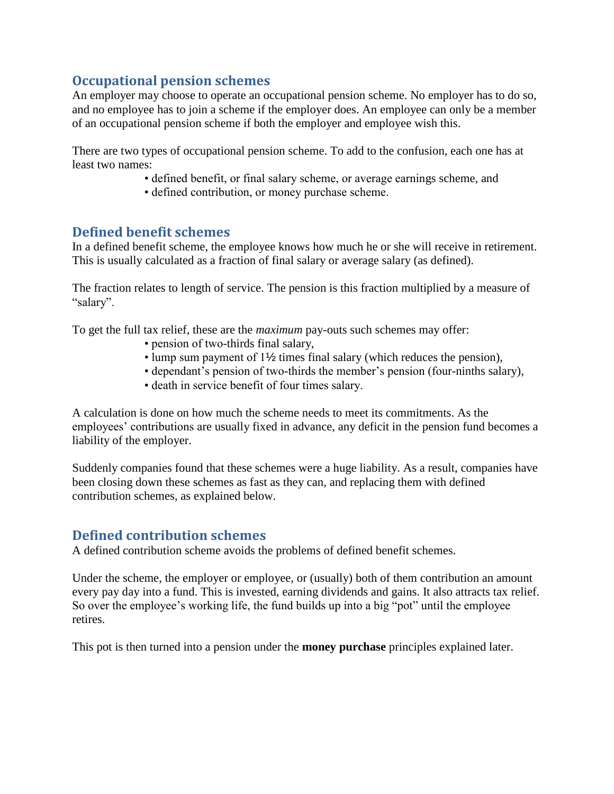# **Occupational pension schemes**

An employer may choose to operate an occupational pension scheme. No employer has to do so, and no employee has to join a scheme if the employer does. An employee can only be a member of an occupational pension scheme if both the employer and employee wish this.

There are two types of occupational pension scheme. To add to the confusion, each one has at least two names:

- defined benefit, or final salary scheme, or average earnings scheme, and
- defined contribution, or money purchase scheme.

## **Defined benefit schemes**

In a defined benefit scheme, the employee knows how much he or she will receive in retirement. This is usually calculated as a fraction of final salary or average salary (as defined).

The fraction relates to length of service. The pension is this fraction multiplied by a measure of "salary".

To get the full tax relief, these are the *maximum* pay-outs such schemes may offer:

- pension of two-thirds final salary,
- lump sum payment of 1½ times final salary (which reduces the pension),
- dependant's pension of two-thirds the member's pension (four-ninths salary),
- death in service benefit of four times salary.

A calculation is done on how much the scheme needs to meet its commitments. As the employees' contributions are usually fixed in advance, any deficit in the pension fund becomes a liability of the employer.

Suddenly companies found that these schemes were a huge liability. As a result, companies have been closing down these schemes as fast as they can, and replacing them with defined contribution schemes, as explained below.

# **Defined contribution schemes**

A defined contribution scheme avoids the problems of defined benefit schemes.

Under the scheme, the employer or employee, or (usually) both of them contribution an amount every pay day into a fund. This is invested, earning dividends and gains. It also attracts tax relief. So over the employee's working life, the fund builds up into a big "pot" until the employee retires.

This pot is then turned into a pension under the **money purchase** principles explained later.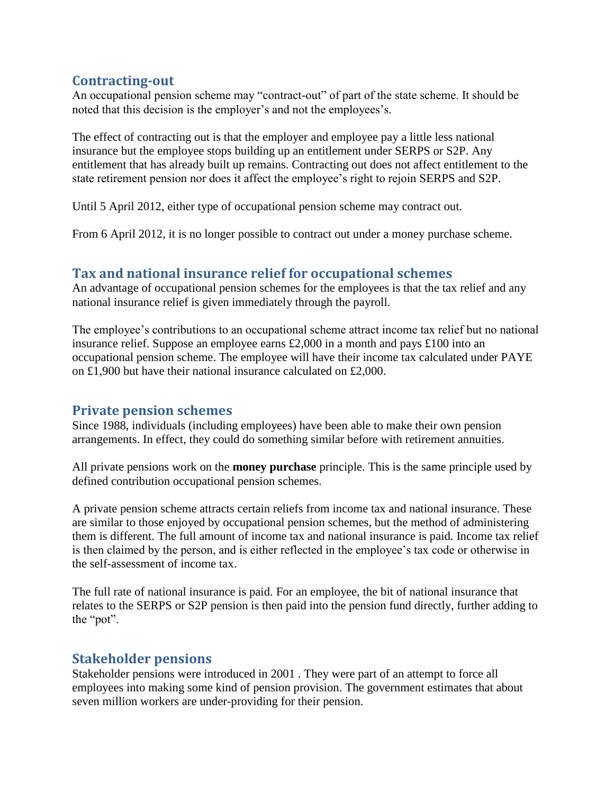## **Contracting-out**

An occupational pension scheme may "contract-out" of part of the state scheme. It should be noted that this decision is the employer's and not the employees's.

The effect of contracting out is that the employer and employee pay a little less national insurance but the employee stops building up an entitlement under SERPS or S2P. Any entitlement that has already built up remains. Contracting out does not affect entitlement to the state retirement pension nor does it affect the employee's right to rejoin SERPS and S2P.

Until 5 April 2012, either type of occupational pension scheme may contract out.

From 6 April 2012, it is no longer possible to contract out under a money purchase scheme.

# **Tax and national insurance relief for occupational schemes**

An advantage of occupational pension schemes for the employees is that the tax relief and any national insurance relief is given immediately through the payroll.

The employee's contributions to an occupational scheme attract income tax relief but no national insurance relief. Suppose an employee earns £2,000 in a month and pays £100 into an occupational pension scheme. The employee will have their income tax calculated under PAYE on £1,900 but have their national insurance calculated on £2,000.

## **Private pension schemes**

Since 1988, individuals (including employees) have been able to make their own pension arrangements. In effect, they could do something similar before with retirement annuities.

All private pensions work on the **money purchase** principle. This is the same principle used by defined contribution occupational pension schemes.

A private pension scheme attracts certain reliefs from income tax and national insurance. These are similar to those enjoyed by occupational pension schemes, but the method of administering them is different. The full amount of income tax and national insurance is paid. Income tax relief is then claimed by the person, and is either reflected in the employee's tax code or otherwise in the self-assessment of income tax.

The full rate of national insurance is paid. For an employee, the bit of national insurance that relates to the SERPS or S2P pension is then paid into the pension fund directly, further adding to the "pot".

#### **Stakeholder pensions**

Stakeholder pensions were introduced in 2001 . They were part of an attempt to force all employees into making some kind of pension provision. The government estimates that about seven million workers are under-providing for their pension.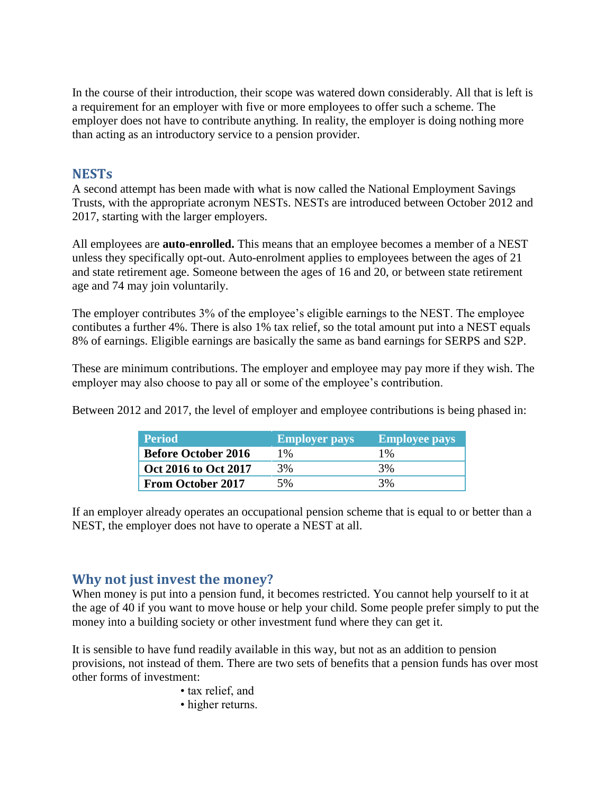In the course of their introduction, their scope was watered down considerably. All that is left is a requirement for an employer with five or more employees to offer such a scheme. The employer does not have to contribute anything. In reality, the employer is doing nothing more than acting as an introductory service to a pension provider.

#### **NESTs**

A second attempt has been made with what is now called the National Employment Savings Trusts, with the appropriate acronym NESTs. NESTs are introduced between October 2012 and 2017, starting with the larger employers.

All employees are **auto-enrolled.** This means that an employee becomes a member of a NEST unless they specifically opt-out. Auto-enrolment applies to employees between the ages of 21 and state retirement age. Someone between the ages of 16 and 20, or between state retirement age and 74 may join voluntarily.

The employer contributes 3% of the employee's eligible earnings to the NEST. The employee contibutes a further 4%. There is also 1% tax relief, so the total amount put into a NEST equals 8% of earnings. Eligible earnings are basically the same as band earnings for SERPS and S2P.

These are minimum contributions. The employer and employee may pay more if they wish. The employer may also choose to pay all or some of the employee's contribution.

Between 2012 and 2017, the level of employer and employee contributions is being phased in:

| <b>Period</b>              | <b>Employer pays</b> | <b>Employee pays</b> |
|----------------------------|----------------------|----------------------|
| <b>Before October 2016</b> | 1%                   | $1\%$                |
| Oct 2016 to Oct 2017       | 3%                   | 3%                   |
| <b>From October 2017</b>   | 5%                   | 3%                   |

If an employer already operates an occupational pension scheme that is equal to or better than a NEST, the employer does not have to operate a NEST at all.

## **Why not just invest the money?**

When money is put into a pension fund, it becomes restricted. You cannot help yourself to it at the age of 40 if you want to move house or help your child. Some people prefer simply to put the money into a building society or other investment fund where they can get it.

It is sensible to have fund readily available in this way, but not as an addition to pension provisions, not instead of them. There are two sets of benefits that a pension funds has over most other forms of investment:

- tax relief, and
- higher returns.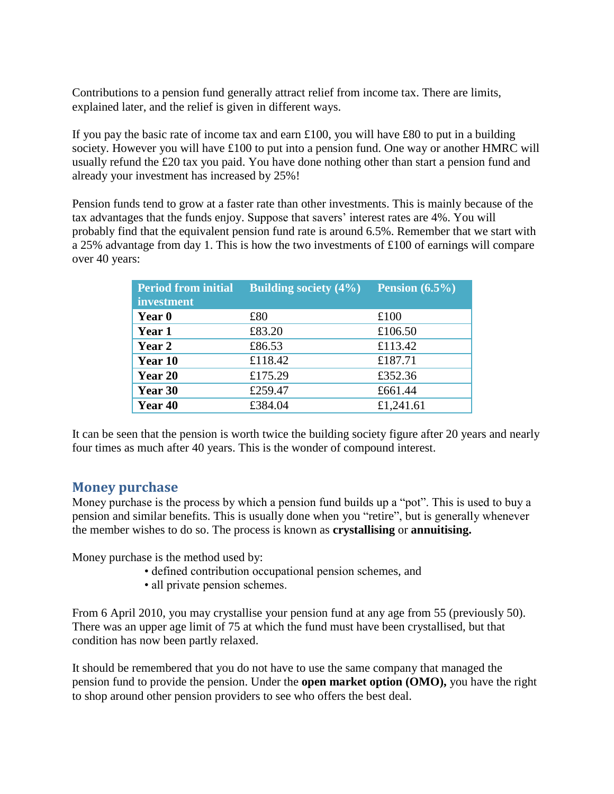Contributions to a pension fund generally attract relief from income tax. There are limits, explained later, and the relief is given in different ways.

If you pay the basic rate of income tax and earn  $\pounds 100$ , you will have  $\pounds 80$  to put in a building society. However you will have £100 to put into a pension fund. One way or another HMRC will usually refund the £20 tax you paid. You have done nothing other than start a pension fund and already your investment has increased by 25%!

Pension funds tend to grow at a faster rate than other investments. This is mainly because of the tax advantages that the funds enjoy. Suppose that savers' interest rates are 4%. You will probably find that the equivalent pension fund rate is around 6.5%. Remember that we start with a 25% advantage from day 1. This is how the two investments of £100 of earnings will compare over 40 years:

| <b>Period from initial</b><br>investment | <b>Building society (4%)</b> | Pension $(6.5\%)$ |
|------------------------------------------|------------------------------|-------------------|
| Year 0                                   | £80                          | £100              |
| Year 1                                   | £83.20                       | £106.50           |
| Year 2                                   | £86.53                       | £113.42           |
| Year 10                                  | £118.42                      | £187.71           |
| Year 20                                  | £175.29                      | £352.36           |
| Year 30                                  | £259.47                      | £661.44           |
| Year 40                                  | £384.04                      | £1,241.61         |

It can be seen that the pension is worth twice the building society figure after 20 years and nearly four times as much after 40 years. This is the wonder of compound interest.

## **Money purchase**

Money purchase is the process by which a pension fund builds up a "pot". This is used to buy a pension and similar benefits. This is usually done when you "retire", but is generally whenever the member wishes to do so. The process is known as **crystallising** or **annuitising.**

Money purchase is the method used by:

- defined contribution occupational pension schemes, and
- all private pension schemes.

From 6 April 2010, you may crystallise your pension fund at any age from 55 (previously 50). There was an upper age limit of 75 at which the fund must have been crystallised, but that condition has now been partly relaxed.

It should be remembered that you do not have to use the same company that managed the pension fund to provide the pension. Under the **open market option (OMO),** you have the right to shop around other pension providers to see who offers the best deal.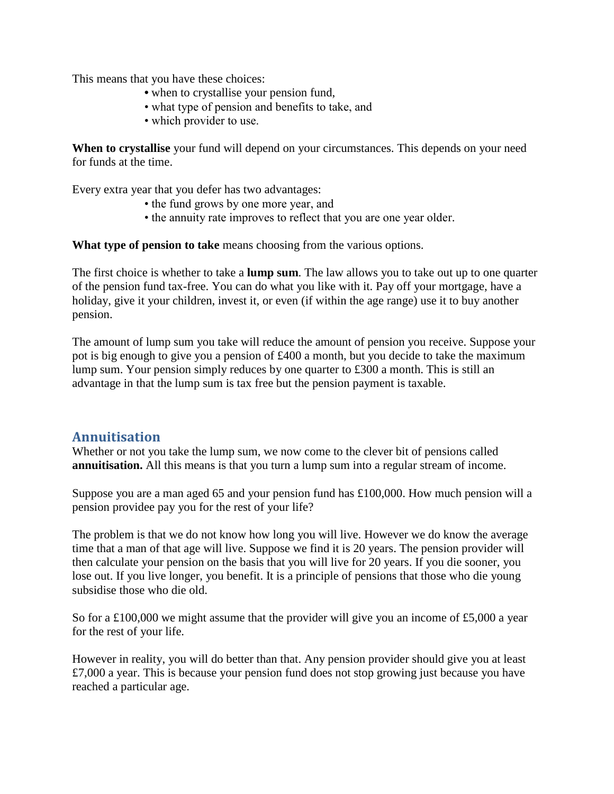This means that you have these choices:

- when to crystallise your pension fund,
- what type of pension and benefits to take, and
- which provider to use.

**When to crystallise** your fund will depend on your circumstances. This depends on your need for funds at the time.

Every extra year that you defer has two advantages:

- the fund grows by one more year, and
- the annuity rate improves to reflect that you are one year older.

What type of pension to take means choosing from the various options.

The first choice is whether to take a **lump sum**. The law allows you to take out up to one quarter of the pension fund tax-free. You can do what you like with it. Pay off your mortgage, have a holiday, give it your children, invest it, or even (if within the age range) use it to buy another pension.

The amount of lump sum you take will reduce the amount of pension you receive. Suppose your pot is big enough to give you a pension of £400 a month, but you decide to take the maximum lump sum. Your pension simply reduces by one quarter to £300 a month. This is still an advantage in that the lump sum is tax free but the pension payment is taxable.

## **Annuitisation**

Whether or not you take the lump sum, we now come to the clever bit of pensions called **annuitisation.** All this means is that you turn a lump sum into a regular stream of income.

Suppose you are a man aged 65 and your pension fund has £100,000. How much pension will a pension providee pay you for the rest of your life?

The problem is that we do not know how long you will live. However we do know the average time that a man of that age will live. Suppose we find it is 20 years. The pension provider will then calculate your pension on the basis that you will live for 20 years. If you die sooner, you lose out. If you live longer, you benefit. It is a principle of pensions that those who die young subsidise those who die old.

So for a £100,000 we might assume that the provider will give you an income of £5,000 a year for the rest of your life.

However in reality, you will do better than that. Any pension provider should give you at least £7,000 a year. This is because your pension fund does not stop growing just because you have reached a particular age.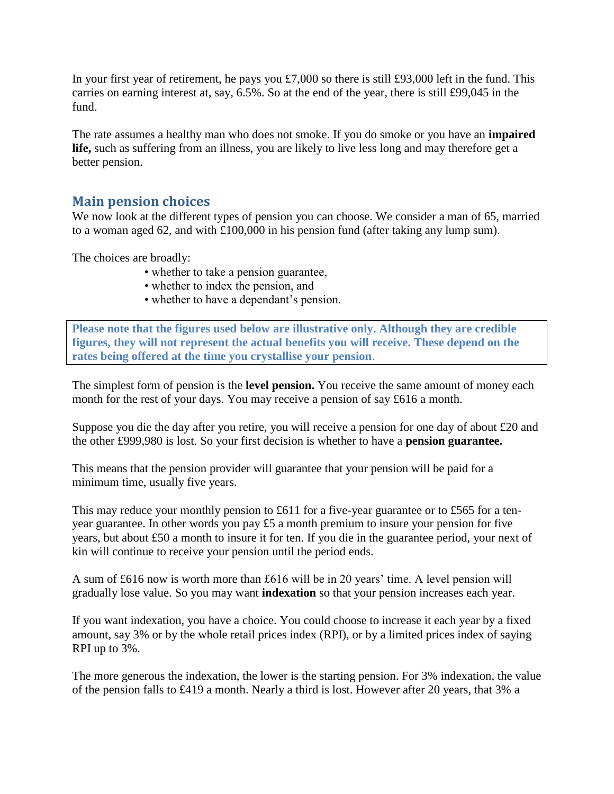In your first year of retirement, he pays you £7,000 so there is still £93,000 left in the fund. This carries on earning interest at, say, 6.5%. So at the end of the year, there is still £99,045 in the fund.

The rate assumes a healthy man who does not smoke. If you do smoke or you have an **impaired life,** such as suffering from an illness, you are likely to live less long and may therefore get a better pension.

## **Main pension choices**

We now look at the different types of pension you can choose. We consider a man of 65, married to a woman aged 62, and with £100,000 in his pension fund (after taking any lump sum).

The choices are broadly:

- whether to take a pension guarantee,
- whether to index the pension, and
- whether to have a dependant's pension.

**Please note that the figures used below are illustrative only. Although they are credible figures, they will not represent the actual benefits you will receive. These depend on the rates being offered at the time you crystallise your pension**.

The simplest form of pension is the **level pension.** You receive the same amount of money each month for the rest of your days. You may receive a pension of say £616 a month.

Suppose you die the day after you retire, you will receive a pension for one day of about £20 and the other £999,980 is lost. So your first decision is whether to have a **pension guarantee.**

This means that the pension provider will guarantee that your pension will be paid for a minimum time, usually five years.

This may reduce your monthly pension to £611 for a five-year guarantee or to £565 for a tenyear guarantee. In other words you pay £5 a month premium to insure your pension for five years, but about £50 a month to insure it for ten. If you die in the guarantee period, your next of kin will continue to receive your pension until the period ends.

A sum of £616 now is worth more than £616 will be in 20 years' time. A level pension will gradually lose value. So you may want **indexation** so that your pension increases each year.

If you want indexation, you have a choice. You could choose to increase it each year by a fixed amount, say 3% or by the whole retail prices index (RPI), or by a limited prices index of saying RPI up to 3%.

The more generous the indexation, the lower is the starting pension. For 3% indexation, the value of the pension falls to £419 a month. Nearly a third is lost. However after 20 years, that 3% a